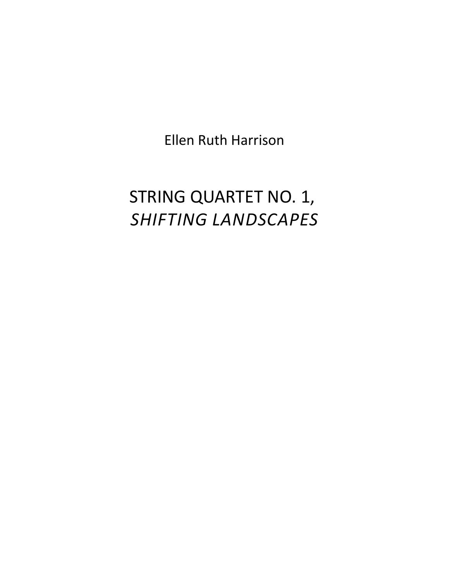**Ellen Ruth Harrison** 

# STRING QUARTET NO. 1, *SHIFTING LANDSCAPES*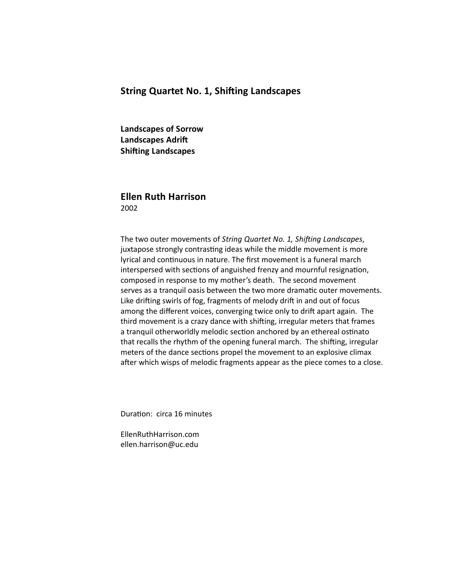#### **String Quartet No. 1, Shifting Landscapes**

**Landscapes of Sorrow Landscapes Adrift Shifting Landscapes** 

### **Ellen Ruth Harrison**

2002

The two outer movements of *String Quartet No. 1, Shifting Landscapes*, juxtapose strongly contrasting ideas while the middle movement is more lyrical and continuous in nature. The first movement is a funeral march interspersed with sections of anguished frenzy and mournful resignation, composed in response to my mother's death. The second movement serves as a tranquil oasis between the two more dramatic outer movements. Like drifting swirls of fog, fragments of melody drift in and out of focus among the different voices, converging twice only to drift apart again. The third movement is a crazy dance with shifting, irregular meters that frames a tranquil otherworldly melodic section anchored by an ethereal ostinato that recalls the rhythm of the opening funeral march. The shifting, irregular meters of the dance sections propel the movement to an explosive climax after which wisps of melodic fragments appear as the piece comes to a close.

Duration: circa 16 minutes

EllenRuthHarrison.com ellen.harrison@uc.edu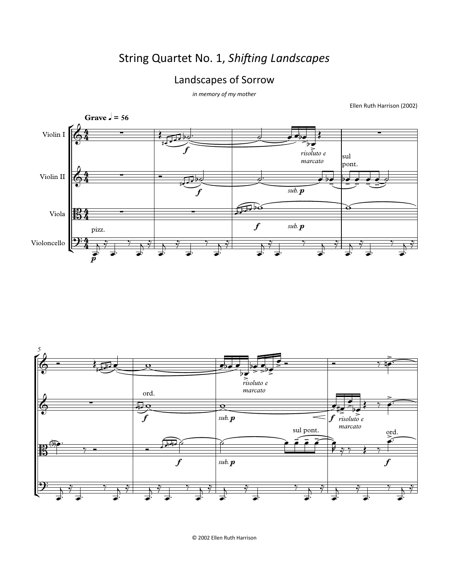# String Quartet No. 1, Shifting Landscapes

## Landscapes of Sorrow

*in* memory of my mother

° ¢ Violin I Violin II Viola Violoncello <sup>f</sup> *risoluto e marcato* Grave  $\frac{1}{6}$  = 56 f *sub.* p  $f$  sub.  $p$  $\tilde{p}$ 4  $\frac{4}{4}$ 4  $\frac{4}{4}$ 4  $\frac{4}{4}$ 4  $\frac{4}{4}$ & <sup>∑</sup> <sup>&</sup>gt; <sup>&</sup>gt; ∑  $\frac{4}{94}$  sul pont.  $\frac{1}{\sqrt{2}}$   $\frac{1}{\sqrt{2}}$   $\frac{1}{\sqrt{2}}$   $\frac{1}{\sqrt{2}}$   $\frac{1}{\sqrt{2}}$   $\frac{1}{\sqrt{2}}$   $\frac{1}{\sqrt{2}}$   $\frac{1}{\sqrt{2}}$   $\frac{1}{\sqrt{2}}$   $\frac{1}{\sqrt{2}}$   $\frac{1}{\sqrt{2}}$   $\frac{1}{\sqrt{2}}$   $\frac{1}{\sqrt{2}}$   $\frac{1}{\sqrt{2}}$   $\frac{1}{\sqrt{2}}$   $\frac{1}{\sqrt{2}}$   $\frac{1}{\sqrt{2}}$   $\frac{94}{24}$   $-$ <u>.</u> pizz.  $\overline{\hat{\xi}}$  f  $\overline{e}$  $\overline{p}$ Œ  $\blacksquare$  $e^{i\theta}$   $e^{i\theta}$   $e^{i\theta}$   $e^{i\theta}$   $e^{i\theta}$   $e^{i\theta}$   $e^{i\theta}$   $e^{i\theta}$   $e^{i\theta}$   $e^{i\theta}$   $e^{i\theta}$   $e^{i\theta}$ fi  $\frac{1}{\sqrt{1-\frac{1}{\sqrt{1-\frac{1}{\sqrt{1-\frac{1}{\sqrt{1-\frac{1}{\sqrt{1-\frac{1}{\sqrt{1-\frac{1}{\sqrt{1-\frac{1}{\sqrt{1-\frac{1}{\sqrt{1-\frac{1}{\sqrt{1-\frac{1}{\sqrt{1-\frac{1}{\sqrt{1-\frac{1}{\sqrt{1-\frac{1}{\sqrt{1-\frac{1}{\sqrt{1-\frac{1}{\sqrt{1-\frac{1}{\sqrt{1-\frac{1}{\sqrt{1-\frac{1}{\sqrt{1-\frac{1}{\sqrt{1-\frac{1}{\sqrt{1-\frac{1}{\sqrt{1-\frac{1}{\sqrt{1-\frac{1}{\sqrt{1-\frac{1$ œ™  $\sqrt{7}$  $\frac{1}{\epsilon}$ . œ™  $\sqrt{7}$ œ™  $\frac{3}{2}$  $\frac{2}{\sqrt{1-\frac{1}{2}}}$ œ™  $\sqrt{7}$ œ™  $\sqrt{7}$  $\frac{1}{\sqrt{1-\frac{1}{\sqrt{1-\frac{1}{\sqrt{1-\frac{1}{\sqrt{1-\frac{1}{\sqrt{1-\frac{1}{\sqrt{1-\frac{1}{\sqrt{1-\frac{1}{\sqrt{1-\frac{1}{\sqrt{1-\frac{1}{\sqrt{1-\frac{1}{\sqrt{1-\frac{1}{\sqrt{1-\frac{1}{\sqrt{1-\frac{1}{\sqrt{1-\frac{1}{\sqrt{1-\frac{1}{\sqrt{1-\frac{1}{\sqrt{1-\frac{1}{\sqrt{1-\frac{1}{\sqrt{1-\frac{1}{\sqrt{1-\frac{1}{\sqrt{1-\frac{1}{\sqrt{1-\frac{1}{\sqrt{1-\frac{1}{\sqrt{1-\frac{1$ œ™  $\frac{y}{2}$ œ™  $\sqrt{y}$  $\frac{v}{\sqrt{1-v^2}}$ œ™  $\sqrt{7}$ 



Ellen Ruth Harrison (2002)

© 2002 Ellen Ruth Harrison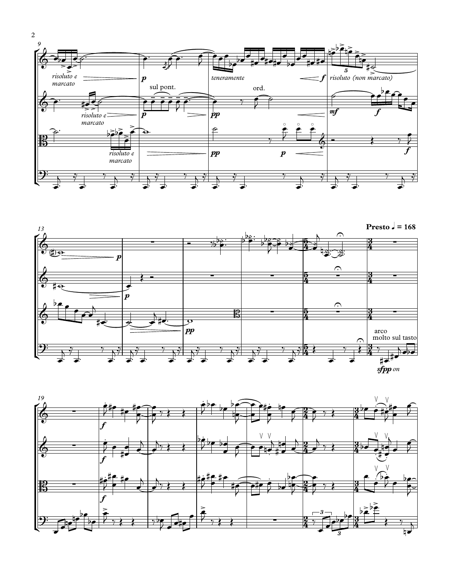



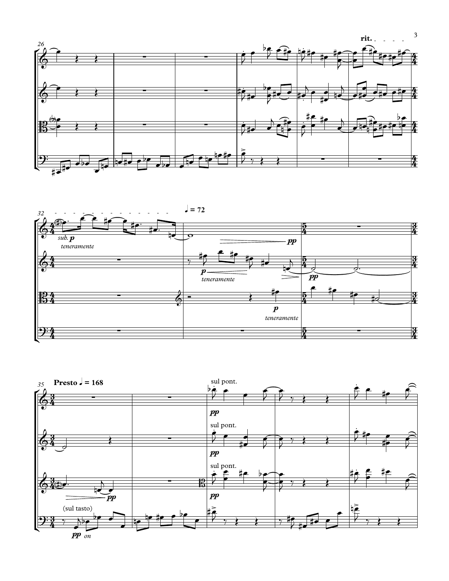





pp *on*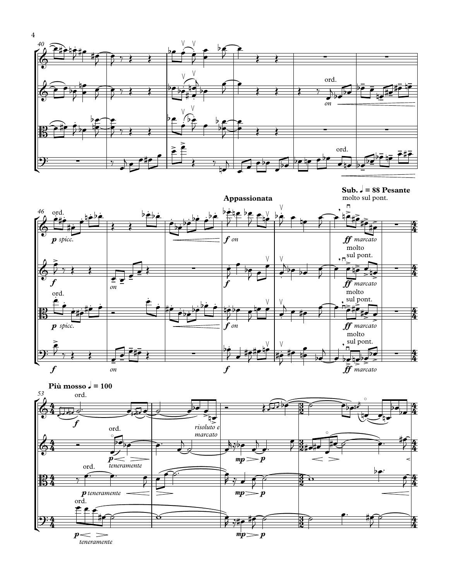



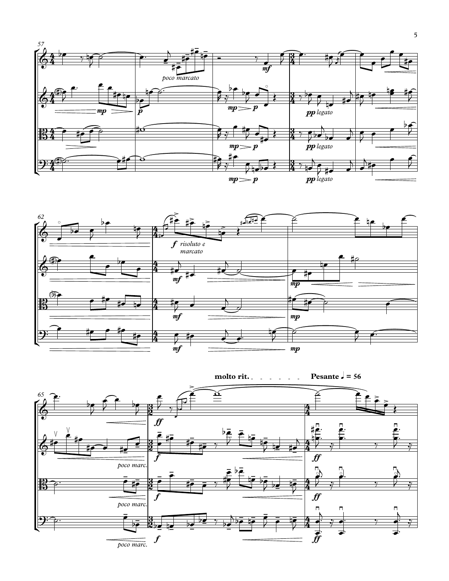



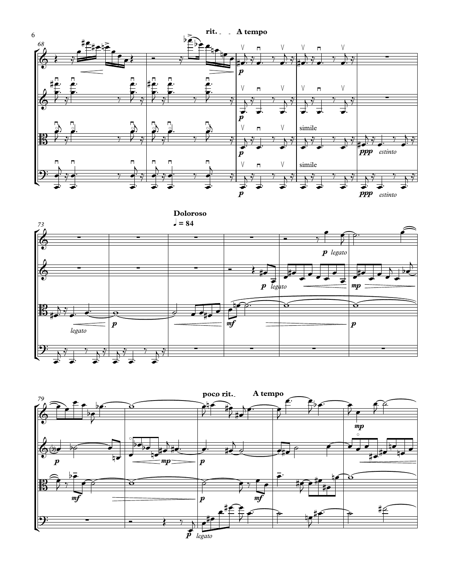



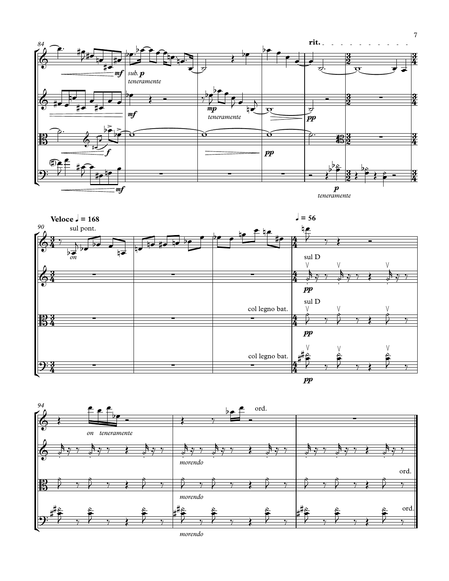





*morendo*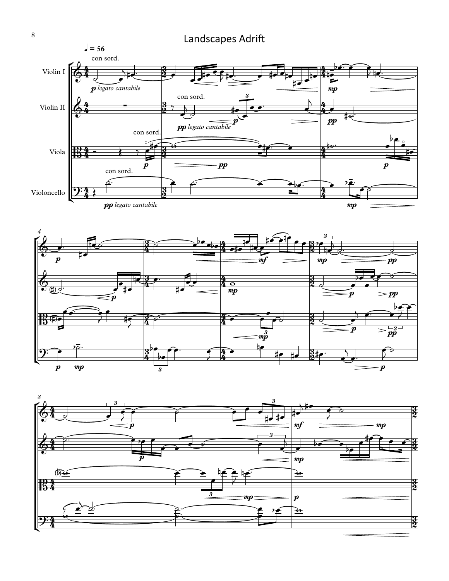



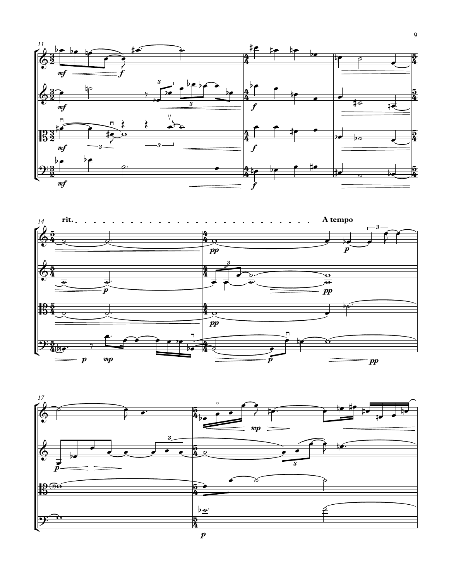





 $\boldsymbol{p}$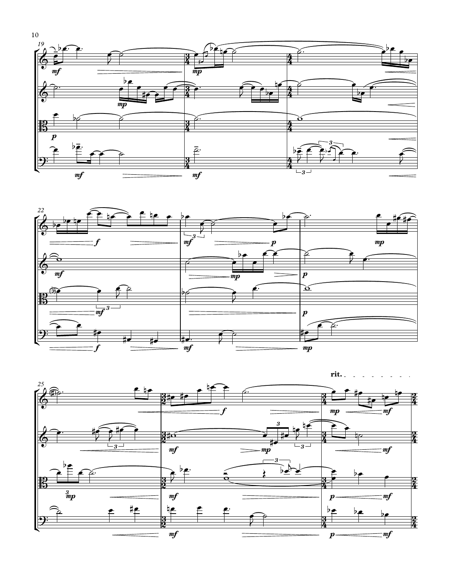





**rit.**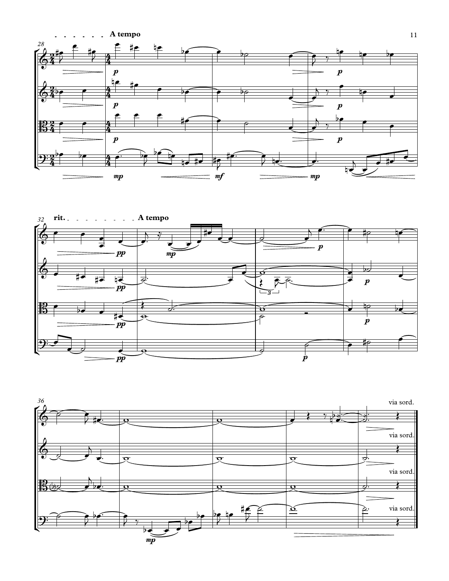



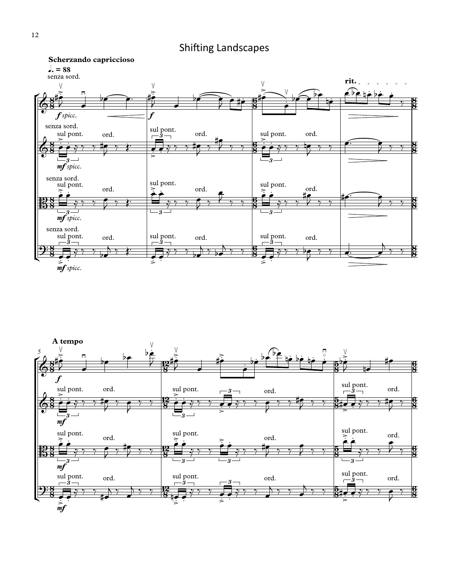#### Shifting Landscapes



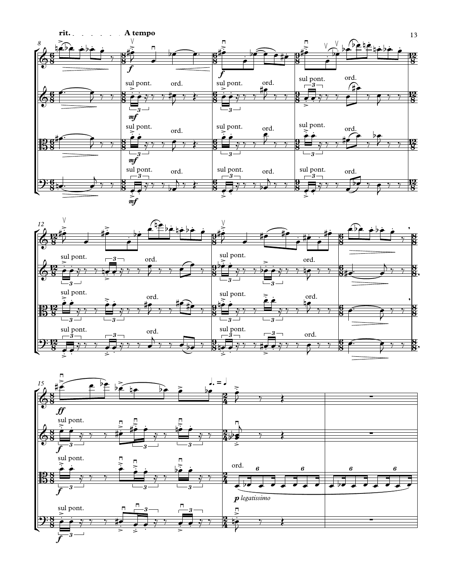



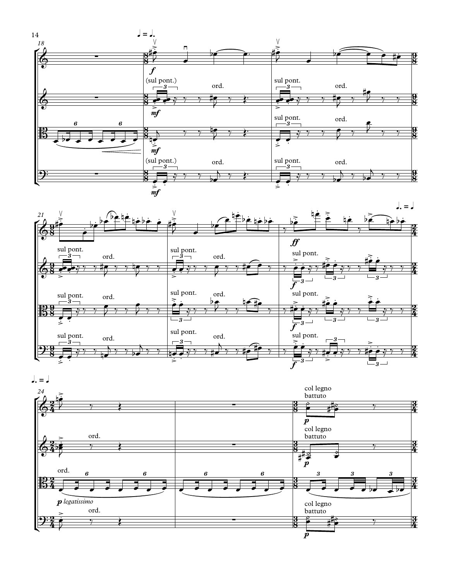



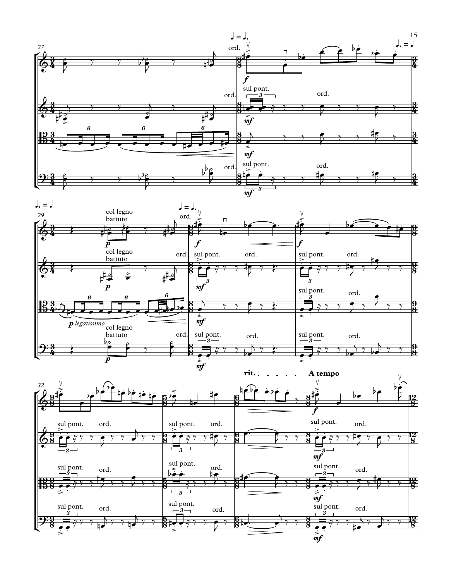



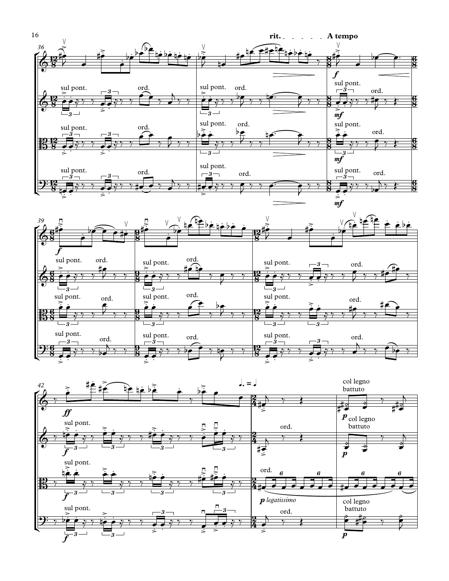



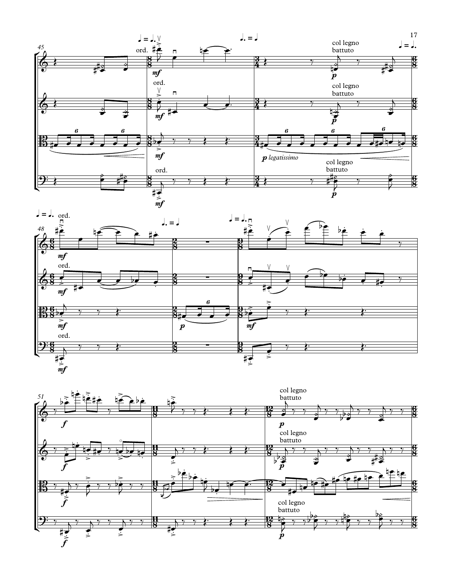



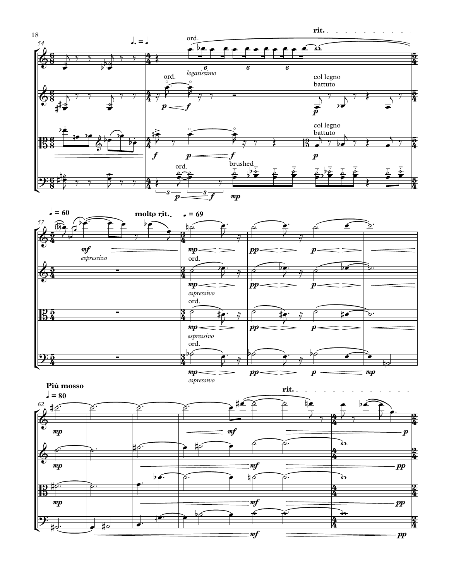



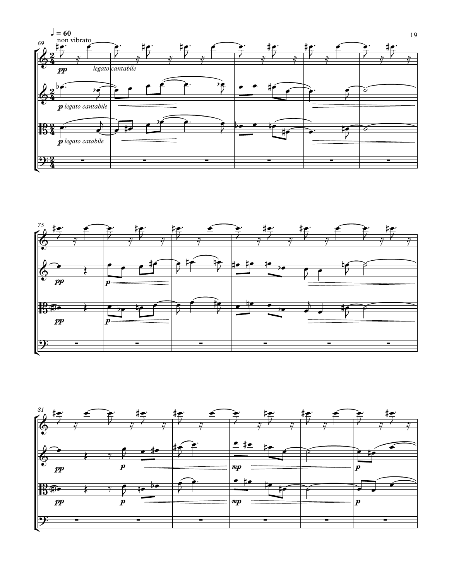



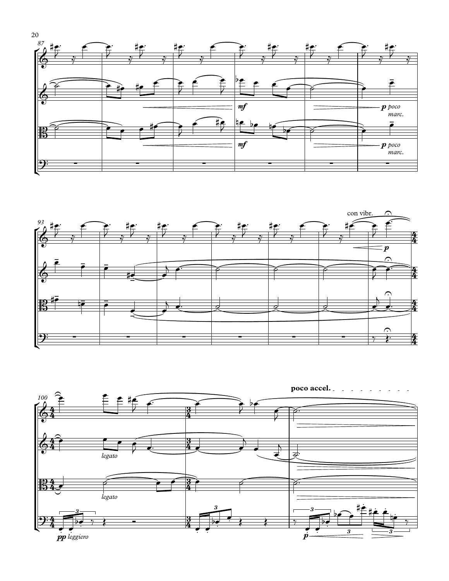





20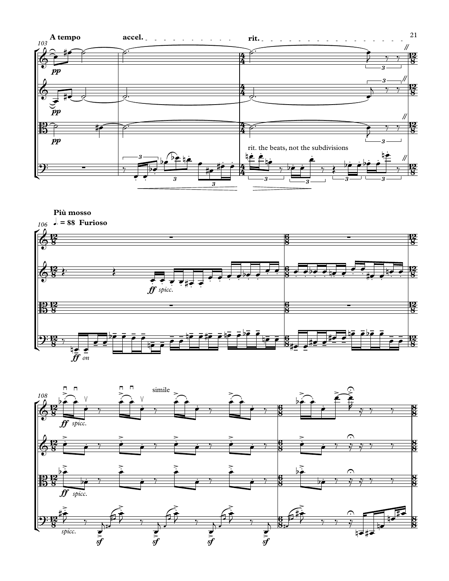



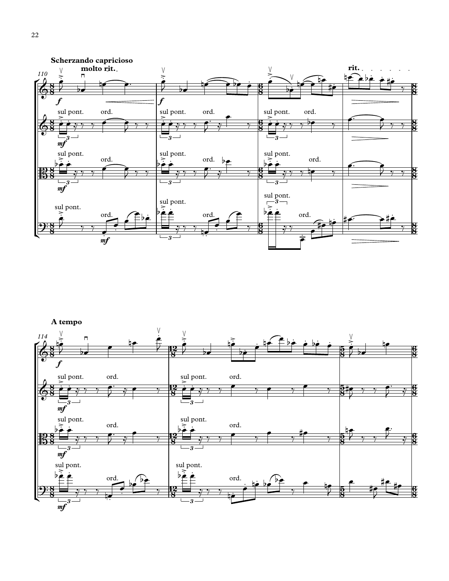

**A tempo**

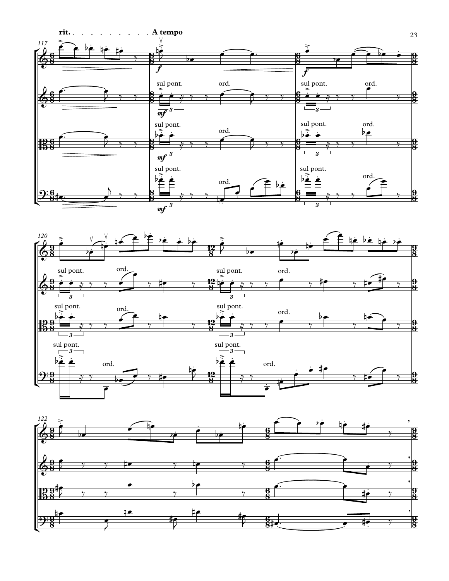



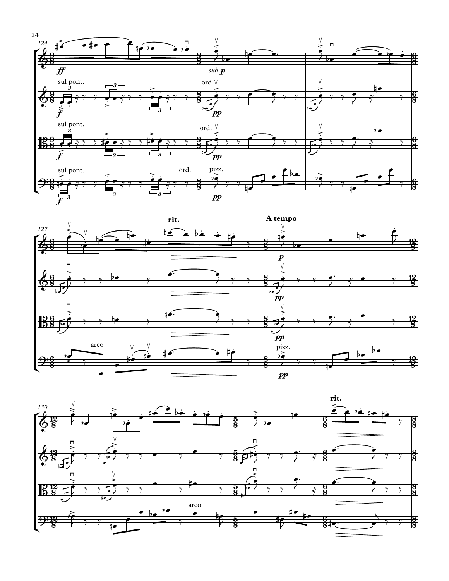



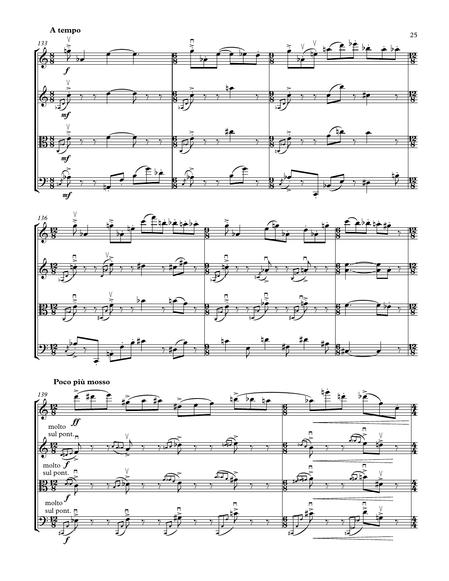



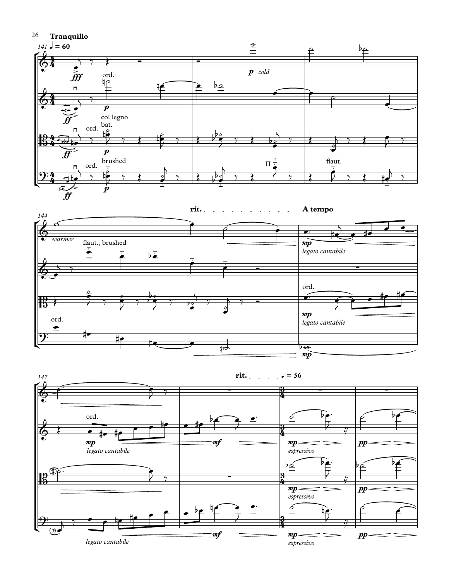